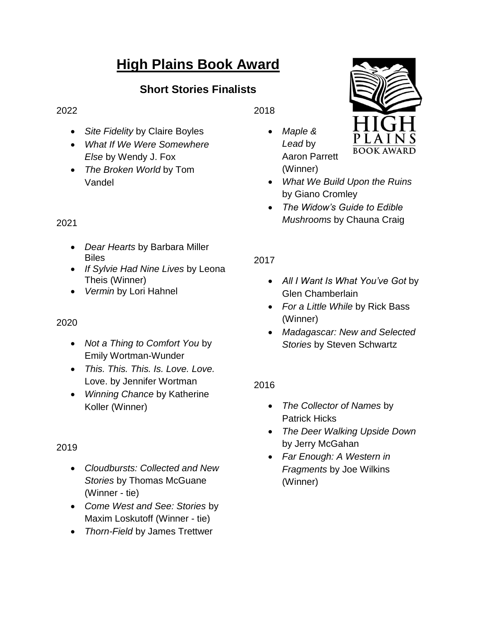# **High Plains Book Award**

# **Short Stories Finalists**

#### 2022

- *Site Fidelity* by Claire Boyles
- *What If We Were Somewhere Else* by Wendy J. Fox
- *The Broken World* by Tom Vandel

#### 2021

- *Dear Hearts* by Barbara Miller Biles
- *If Sylvie Had Nine Lives* by Leona Theis (Winner)
- *Vermin* by Lori Hahnel

# 2020

- *Not a Thing to Comfort You* by Emily Wortman-Wunder
- *This. This. This. Is. Love. Love.* Love. by Jennifer Wortman
- *Winning Chance* by Katherine Koller (Winner)

# 2019

- *Cloudbursts: Collected and New Stories* by Thomas McGuane (Winner - tie)
- *Come West and See: Stories* by Maxim Loskutoff (Winner - tie)
- *Thorn-Field* by James Trettwer

2018

 *Maple & Lead* by Aaron Parrett (Winner)



- *What We Build Upon the Ruins* by Giano Cromley
- *The Widow's Guide to Edible Mushrooms* by Chauna Craig

# 2017

- *All I Want Is What You've Got* by Glen Chamberlain
- *For a Little While* by Rick Bass (Winner)
- *Madagascar: New and Selected Stories* by Steven Schwartz

# 2016

- *The Collector of Names* by Patrick Hicks
- *The Deer Walking Upside Down* by Jerry McGahan
- *Far Enough: A Western in Fragments* by Joe Wilkins (Winner)